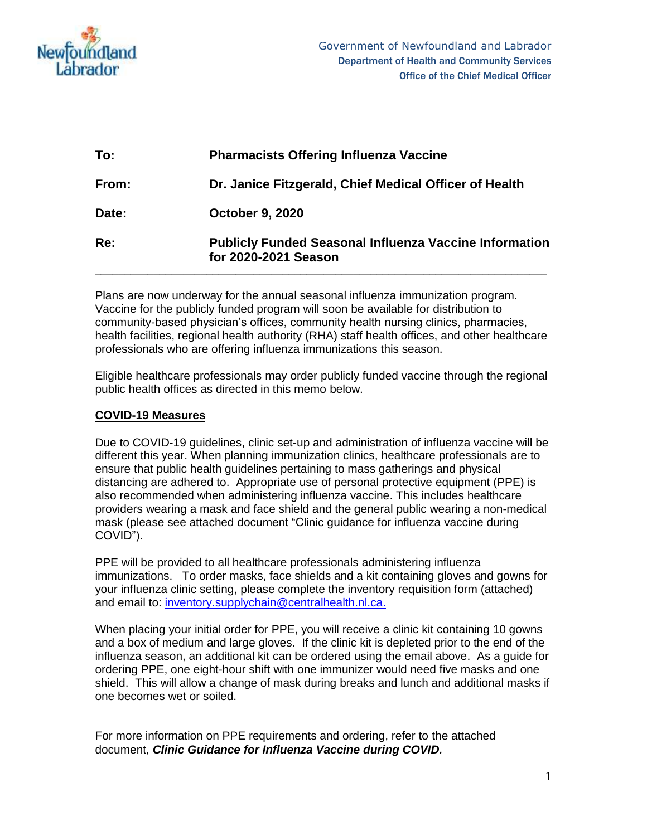

| To:   | <b>Pharmacists Offering Influenza Vaccine</b>                                         |  |  |
|-------|---------------------------------------------------------------------------------------|--|--|
| From: | Dr. Janice Fitzgerald, Chief Medical Officer of Health                                |  |  |
| Date: | <b>October 9, 2020</b>                                                                |  |  |
| Re:   | <b>Publicly Funded Seasonal Influenza Vaccine Information</b><br>for 2020-2021 Season |  |  |

Plans are now underway for the annual seasonal influenza immunization program. Vaccine for the publicly funded program will soon be available for distribution to community-based physician's offices, community health nursing clinics, pharmacies, health facilities, regional health authority (RHA) staff health offices, and other healthcare professionals who are offering influenza immunizations this season.

Eligible healthcare professionals may order publicly funded vaccine through the regional public health offices as directed in this memo below.

## **COVID-19 Measures**

Due to COVID-19 guidelines, clinic set-up and administration of influenza vaccine will be different this year. When planning immunization clinics, healthcare professionals are to ensure that public health guidelines pertaining to mass gatherings and physical distancing are adhered to. Appropriate use of personal protective equipment (PPE) is also recommended when administering influenza vaccine. This includes healthcare providers wearing a mask and face shield and the general public wearing a non-medical mask (please see attached document "Clinic guidance for influenza vaccine during COVID").

PPE will be provided to all healthcare professionals administering influenza immunizations. To order masks, face shields and a kit containing gloves and gowns for your influenza clinic setting, please complete the inventory requisition form (attached) and email to: [inventory.supplychain@centralhealth.nl.ca.](mailto:inventory.supplychain@centralhealth.nl.ca)

When placing your initial order for PPE, you will receive a clinic kit containing 10 gowns and a box of medium and large gloves. If the clinic kit is depleted prior to the end of the influenza season, an additional kit can be ordered using the email above. As a guide for ordering PPE, one eight-hour shift with one immunizer would need five masks and one shield. This will allow a change of mask during breaks and lunch and additional masks if one becomes wet or soiled.

For more information on PPE requirements and ordering, refer to the attached document, *Clinic Guidance for Influenza Vaccine during COVID.*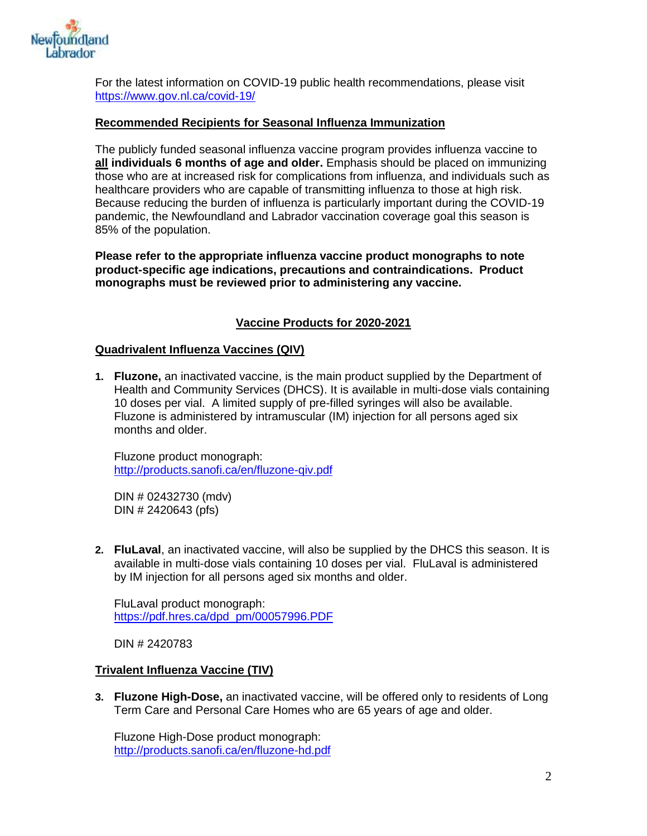

For the latest information on COVID-19 public health recommendations, please visit <https://www.gov.nl.ca/covid-19/>

### **Recommended Recipients for Seasonal Influenza Immunization**

The publicly funded seasonal influenza vaccine program provides influenza vaccine to **all individuals 6 months of age and older.** Emphasis should be placed on immunizing those who are at increased risk for complications from influenza, and individuals such as healthcare providers who are capable of transmitting influenza to those at high risk. Because reducing the burden of influenza is particularly important during the COVID-19 pandemic, the Newfoundland and Labrador vaccination coverage goal this season is 85% of the population.

**Please refer to the appropriate influenza vaccine product monographs to note product-specific age indications, precautions and contraindications. Product monographs must be reviewed prior to administering any vaccine.** 

### **Vaccine Products for 2020-2021**

#### **Quadrivalent Influenza Vaccines (QIV)**

**1. Fluzone,** an inactivated vaccine, is the main product supplied by the Department of Health and Community Services (DHCS). It is available in multi-dose vials containing 10 doses per vial. A limited supply of pre-filled syringes will also be available. Fluzone is administered by intramuscular (IM) injection for all persons aged six months and older.

Fluzone product monograph: <http://products.sanofi.ca/en/fluzone-qiv.pdf>

DIN # 02432730 (mdv) DIN # 2420643 (pfs)

**2. FluLaval**, an inactivated vaccine, will also be supplied by the DHCS this season. It is available in multi-dose vials containing 10 doses per vial. FluLaval is administered by IM injection for all persons aged six months and older.

FluLaval product monograph: [https://pdf.hres.ca/dpd\\_pm/00057996.PDF](https://pdf.hres.ca/dpd_pm/00057996.PDF)

DIN # 2420783

### **Trivalent Influenza Vaccine (TIV)**

**3. Fluzone High-Dose,** an inactivated vaccine, will be offered only to residents of Long Term Care and Personal Care Homes who are 65 years of age and older.

Fluzone High-Dose product monograph: <http://products.sanofi.ca/en/fluzone-hd.pdf>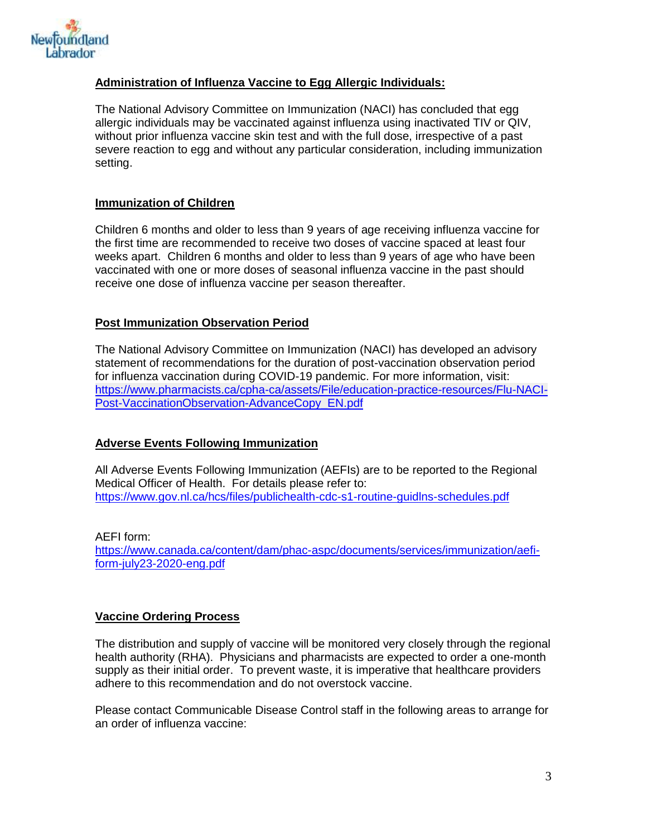

## **Administration of Influenza Vaccine to Egg Allergic Individuals:**

The National Advisory Committee on Immunization (NACI) has concluded that egg allergic individuals may be vaccinated against influenza using inactivated TIV or QIV, without prior influenza vaccine skin test and with the full dose, irrespective of a past severe reaction to egg and without any particular consideration, including immunization setting.

## **Immunization of Children**

Children 6 months and older to less than 9 years of age receiving influenza vaccine for the first time are recommended to receive two doses of vaccine spaced at least four weeks apart. Children 6 months and older to less than 9 years of age who have been vaccinated with one or more doses of seasonal influenza vaccine in the past should receive one dose of influenza vaccine per season thereafter.

## **Post Immunization Observation Period**

The National Advisory Committee on Immunization (NACI) has developed an advisory statement of recommendations for the duration of post-vaccination observation period for influenza vaccination during COVID-19 pandemic. For more information, visit: [https://www.pharmacists.ca/cpha-ca/assets/File/education-practice-resources/Flu-NACI-](https://www.pharmacists.ca/cpha-ca/assets/File/education-practice-resources/Flu-NACI-Post-VaccinationObservation-AdvanceCopy_EN.pdf)[Post-VaccinationObservation-AdvanceCopy\\_EN.pdf](https://www.pharmacists.ca/cpha-ca/assets/File/education-practice-resources/Flu-NACI-Post-VaccinationObservation-AdvanceCopy_EN.pdf)

## **Adverse Events Following Immunization**

All Adverse Events Following Immunization (AEFIs) are to be reported to the Regional Medical Officer of Health. For details please refer to: <https://www.gov.nl.ca/hcs/files/publichealth-cdc-s1-routine-guidlns-schedules.pdf>

AEFI form: [https://www.canada.ca/content/dam/phac-aspc/documents/services/immunization/aefi](https://www.canada.ca/content/dam/phac-aspc/documents/services/immunization/aefi-form-july23-2020-eng.pdf)[form-july23-2020-eng.pdf](https://www.canada.ca/content/dam/phac-aspc/documents/services/immunization/aefi-form-july23-2020-eng.pdf)

## **Vaccine Ordering Process**

The distribution and supply of vaccine will be monitored very closely through the regional health authority (RHA). Physicians and pharmacists are expected to order a one-month supply as their initial order. To prevent waste, it is imperative that healthcare providers adhere to this recommendation and do not overstock vaccine.

Please contact Communicable Disease Control staff in the following areas to arrange for an order of influenza vaccine: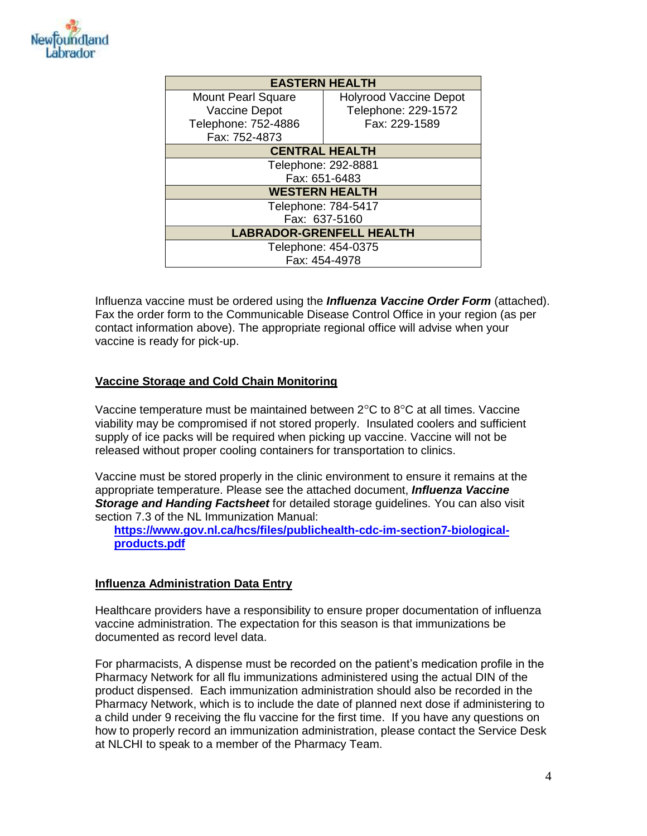

| <b>EASTERN HEALTH</b>           |                               |  |  |  |  |
|---------------------------------|-------------------------------|--|--|--|--|
| <b>Mount Pearl Square</b>       | <b>Holyrood Vaccine Depot</b> |  |  |  |  |
| Vaccine Depot                   | Telephone: 229-1572           |  |  |  |  |
| Telephone: 752-4886             | Fax: 229-1589                 |  |  |  |  |
| Fax: 752-4873                   |                               |  |  |  |  |
| <b>CENTRAL HEALTH</b>           |                               |  |  |  |  |
| Telephone: 292-8881             |                               |  |  |  |  |
| Fax: 651-6483                   |                               |  |  |  |  |
| <b>WESTERN HEALTH</b>           |                               |  |  |  |  |
| Telephone: 784-5417             |                               |  |  |  |  |
| Fax: 637-5160                   |                               |  |  |  |  |
| <b>LABRADOR-GRENFELL HEALTH</b> |                               |  |  |  |  |
| Telephone: 454-0375             |                               |  |  |  |  |
| Fax: 454-4978                   |                               |  |  |  |  |

Influenza vaccine must be ordered using the *Influenza Vaccine Order Form* (attached). Fax the order form to the Communicable Disease Control Office in your region (as per contact information above). The appropriate regional office will advise when your vaccine is ready for pick-up.

## **Vaccine Storage and Cold Chain Monitoring**

Vaccine temperature must be maintained between  $2^{\circ}$ C to  $8^{\circ}$ C at all times. Vaccine viability may be compromised if not stored properly. Insulated coolers and sufficient supply of ice packs will be required when picking up vaccine. Vaccine will not be released without proper cooling containers for transportation to clinics.

Vaccine must be stored properly in the clinic environment to ensure it remains at the appropriate temperature. Please see the attached document, *Influenza Vaccine Storage and Handing Factsheet* for detailed storage guidelines. You can also visit section 7.3 of the NL Immunization Manual:

**[https://www.gov.nl.ca/hcs/files/publichealth-cdc-im-section7-biological](https://www.gov.nl.ca/hcs/files/publichealth-cdc-im-section7-biological-products.pdf)[products.pdf](https://www.gov.nl.ca/hcs/files/publichealth-cdc-im-section7-biological-products.pdf)**

### **Influenza Administration Data Entry**

Healthcare providers have a responsibility to ensure proper documentation of influenza vaccine administration. The expectation for this season is that immunizations be documented as record level data.

For pharmacists, A dispense must be recorded on the patient's medication profile in the Pharmacy Network for all flu immunizations administered using the actual DIN of the product dispensed. Each immunization administration should also be recorded in the Pharmacy Network, which is to include the date of planned next dose if administering to a child under 9 receiving the flu vaccine for the first time. If you have any questions on how to properly record an immunization administration, please contact the Service Desk at NLCHI to speak to a member of the Pharmacy Team.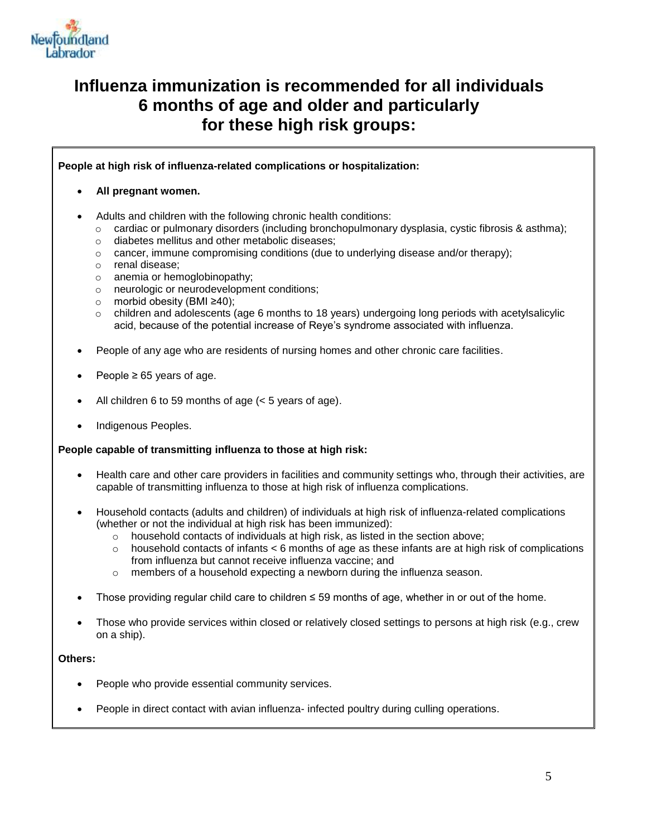

# **Influenza immunization is recommended for all individuals 6 months of age and older and particularly for these high risk groups:**

**People at high risk of influenza-related complications or hospitalization:**

#### **All pregnant women.**

- Adults and children with the following chronic health conditions:
	- o cardiac or pulmonary disorders (including bronchopulmonary dysplasia, cystic fibrosis & asthma);
	- o diabetes mellitus and other metabolic diseases;
	- $\circ$  cancer, immune compromising conditions (due to underlying disease and/or therapy);
	- o renal disease;
	- o anemia or hemoglobinopathy;
	- o neurologic or neurodevelopment conditions;
	- o morbid obesity (BMI ≥40);
	- $\circ$  children and adolescents (age 6 months to 18 years) undergoing long periods with acetylsalicylic acid, because of the potential increase of Reye's syndrome associated with influenza.
- People of any age who are residents of nursing homes and other chronic care facilities.
- People  $\geq 65$  years of age.
- All children 6 to 59 months of age (< 5 years of age).
- Indigenous Peoples.

### **People capable of transmitting influenza to those at high risk:**

- Health care and other care providers in facilities and community settings who, through their activities, are capable of transmitting influenza to those at high risk of influenza complications.
- Household contacts (adults and children) of individuals at high risk of influenza-related complications (whether or not the individual at high risk has been immunized):
	- $\circ$  household contacts of individuals at high risk, as listed in the section above;
	- $\circ$  household contacts of infants  $\lt 6$  months of age as these infants are at high risk of complications from influenza but cannot receive influenza vaccine; and
	- $\circ$  members of a household expecting a newborn during the influenza season.
- Those providing regular child care to children ≤ 59 months of age, whether in or out of the home.
- Those who provide services within closed or relatively closed settings to persons at high risk (e.g., crew on a ship).

#### **Others:**

- People who provide essential community services.
- People in direct contact with avian influenza- infected poultry during culling operations.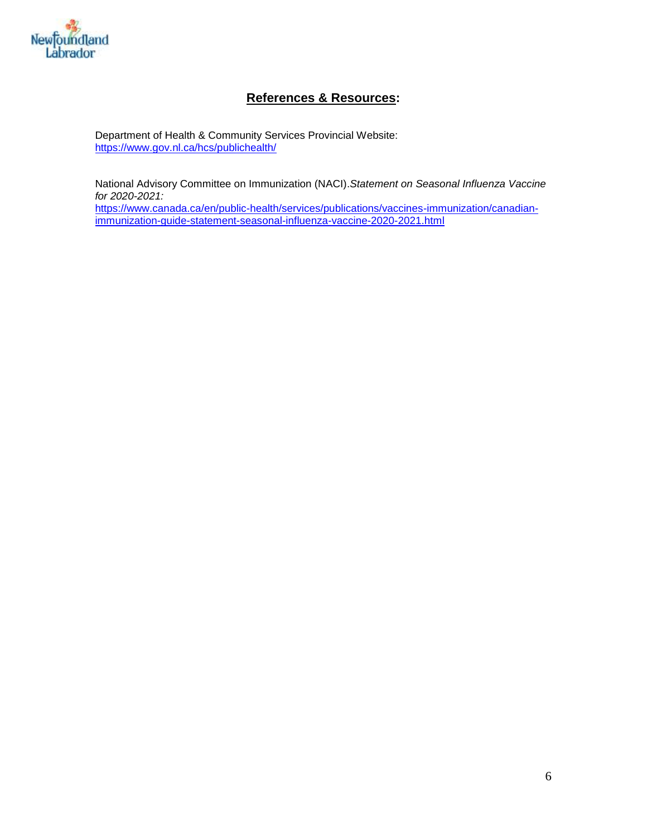

# **References & Resources:**

Department of Health & Community Services Provincial Website: <https://www.gov.nl.ca/hcs/publichealth/>

National Advisory Committee on Immunization (NACI).*Statement on Seasonal Influenza Vaccine for 2020-2021:*

[https://www.canada.ca/en/public-health/services/publications/vaccines-immunization/canadian](https://www.canada.ca/en/public-health/services/publications/vaccines-immunization/canadian-immunization-guide-statement-seasonal-influenza-vaccine-2020-2021.html)[immunization-guide-statement-seasonal-influenza-vaccine-2020-2021.html](https://www.canada.ca/en/public-health/services/publications/vaccines-immunization/canadian-immunization-guide-statement-seasonal-influenza-vaccine-2020-2021.html)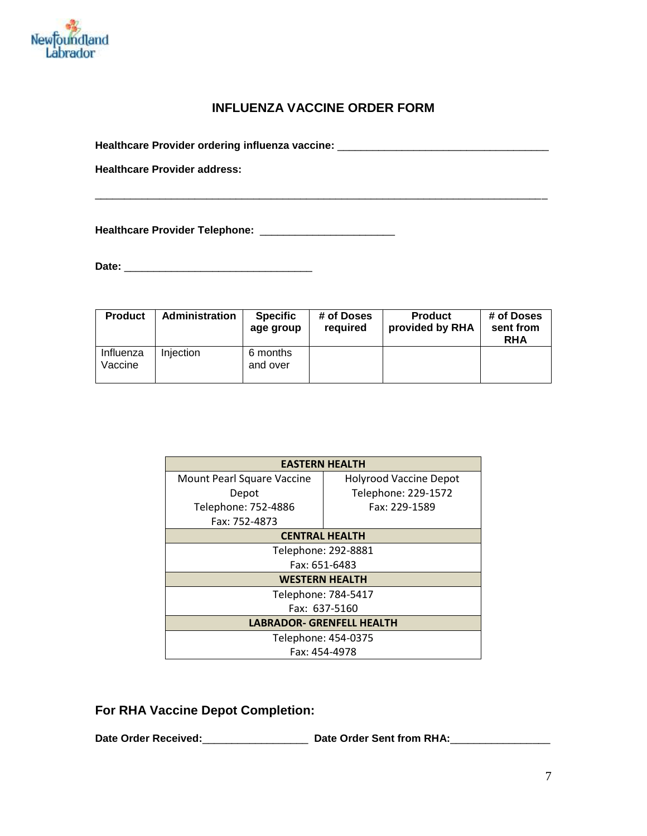

## **INFLUENZA VACCINE ORDER FORM**

\_\_\_\_\_\_\_\_\_\_\_\_\_\_\_\_\_\_\_\_\_\_\_\_\_\_\_\_\_\_\_\_\_\_\_\_\_\_\_\_\_\_\_\_\_\_\_\_\_\_\_\_\_\_\_\_\_\_\_\_\_\_\_\_\_\_\_\_\_\_\_\_\_\_\_\_\_

**Healthcare Provider ordering influenza vaccine:** \_\_\_\_\_\_\_\_\_\_\_\_\_\_\_\_\_\_\_\_\_\_\_\_\_\_\_\_\_\_\_\_\_\_\_\_

**Healthcare Provider address:**

**Healthcare Provider Telephone:** \_\_\_\_\_\_\_\_\_\_\_\_\_\_\_\_\_\_\_\_\_\_\_

**Date:** \_\_\_\_\_\_\_\_\_\_\_\_\_\_\_\_\_\_\_\_\_\_\_\_\_\_\_\_\_\_\_\_

| <b>Product</b>       | Administration | <b>Specific</b><br>age group | # of Doses<br>required | <b>Product</b><br>provided by RHA | # of Doses<br>sent from<br><b>RHA</b> |
|----------------------|----------------|------------------------------|------------------------|-----------------------------------|---------------------------------------|
| Influenza<br>Vaccine | Injection      | 6 months<br>and over         |                        |                                   |                                       |

| <b>EASTERN HEALTH</b>            |                               |  |  |  |
|----------------------------------|-------------------------------|--|--|--|
| Mount Pearl Square Vaccine       | <b>Holyrood Vaccine Depot</b> |  |  |  |
| Depot                            | Telephone: 229-1572           |  |  |  |
| Telephone: 752-4886              | Fax: 229-1589                 |  |  |  |
| Fax: 752-4873                    |                               |  |  |  |
| <b>CENTRAL HEALTH</b>            |                               |  |  |  |
| Telephone: 292-8881              |                               |  |  |  |
| Fax: 651-6483                    |                               |  |  |  |
| <b>WESTERN HEALTH</b>            |                               |  |  |  |
| Telephone: 784-5417              |                               |  |  |  |
| Fax: 637-5160                    |                               |  |  |  |
| <b>LABRADOR- GRENFELL HEALTH</b> |                               |  |  |  |
| Telephone: 454-0375              |                               |  |  |  |
| Fax: 454-4978                    |                               |  |  |  |

**For RHA Vaccine Depot Completion:**

**Date Order Received:**\_\_\_\_\_\_\_\_\_\_\_\_\_\_\_\_\_\_ **Date Order Sent from RHA:**\_\_\_\_\_\_\_\_\_\_\_\_\_\_\_\_\_